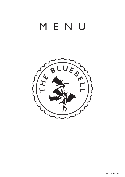# MENU

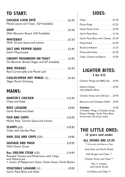# **TO START:**

| <b>CHICKEN LIVER PATÉ</b><br>Mixed Leaves and Toast (GF Available)                                                                                                                                                                                                                                                                                                                                           |  |
|--------------------------------------------------------------------------------------------------------------------------------------------------------------------------------------------------------------------------------------------------------------------------------------------------------------------------------------------------------------------------------------------------------------|--|
| <b>SOUP</b><br>With Bloomer Bread (GF Available)                                                                                                                                                                                                                                                                                                                                                             |  |
| With Tartare Sauce and Lemon                                                                                                                                                                                                                                                                                                                                                                                 |  |
| Garlic Mayonnaise                                                                                                                                                                                                                                                                                                                                                                                            |  |
| CREAMY MUSHROOM ON TOAST <b>MACHOLE 24.95</b><br>On Bloomer Bread (Vegan and GF available)                                                                                                                                                                                                                                                                                                                   |  |
| <b>BRIE WEDGES</b><br>Red Currant Jelly and Mixed Leaf                                                                                                                                                                                                                                                                                                                                                       |  |
| <b>Vegan Ranch Dressing</b>                                                                                                                                                                                                                                                                                                                                                                                  |  |
| <b>MAINS:</b>                                                                                                                                                                                                                                                                                                                                                                                                |  |
| Chips and Salad                                                                                                                                                                                                                                                                                                                                                                                              |  |
| <b>Garlic Bread and Salad</b>                                                                                                                                                                                                                                                                                                                                                                                |  |
| <b>FISH AND CHIPS</b><br>$\ldots$ $\ldots$ $\ldots$ $\ldots$ $\ldots$ $\ldots$ $\ldots$ $\ldots$ $\ldots$ $\ldots$ $\ldots$ $\ldots$ $\ldots$ $\ldots$ $\ldots$ $\ldots$ $\ldots$ $\ldots$ $\ldots$ $\ldots$ $\ldots$ $\ldots$ $\ldots$ $\ldots$ $\ldots$ $\ldots$ $\ldots$ $\ldots$ $\ldots$ $\ldots$ $\ldots$ $\ldots$ $\ldots$ $\ldots$ $\ldots$ $\ldots$ $\ldots$<br>Mushy Peas, Tartare Sauce and Lemon |  |
| <b>SCAMPI (GF).</b><br>Chips with Garden Peas                                                                                                                                                                                                                                                                                                                                                                |  |
|                                                                                                                                                                                                                                                                                                                                                                                                              |  |
|                                                                                                                                                                                                                                                                                                                                                                                                              |  |

**8oz SIRLOIN STEAK** (GF)......................................... £14.95 Roasted Tomato and Mushroom with Chips and Watercress + choice of Peppercorn Sauce, Diane Sauce, Garlic Butter

### **VEGETABLE LASAGNE** (V).......................................... £9.95

Garlic Pizza Bites and Salad

### **SIDES:**

| Sweet Potato Fries  £2.95            |  |
|--------------------------------------|--|
|                                      |  |
| Garlic Pizza Bites with Cheese £2.50 |  |
|                                      |  |
|                                      |  |
|                                      |  |
| Chips, Cheese and Bacon  £3.95       |  |

### **LIGHTER BITES: 3 for £12**

| Beetroot and Chickpea Falafel £4.95  |  |
|--------------------------------------|--|
| Chicken Strips and Chilli Jam  £4.95 |  |
| with Jalapeño Bites                  |  |
| Chicken Wings and BBQ Dip £4.95      |  |

3 Chicken Wings, 3 Chicken Strips, Potato Wedges, Garlic Pizza Bites *Served with a dip of your choice*

### **THE LITTLE ONES:**

**12 years and under**

#### **ALL DISHES ARE £3.95**

\*\* All served with Beans or Peas

Kids Pizza and Garlic Bread

Kids Burger and Chips \*\*

Chicken Strips and Chips \*\*

Mac 'n' Cheese with Garlic Bread

Cod Bites and Chips \*\*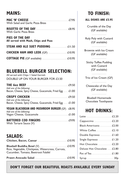## **MAINS:**

| With Salad and Garlic Pizza Bites |  |
|-----------------------------------|--|

| <b>With Garlic Pizza Bites</b> |  |
|--------------------------------|--|

#### **PIES OF THE DAY All served with Mash, Chips and Peas**

| STEAK AND ALE SUET PUDDING <b>CONSTRAINING</b> 211.50 |  |
|-------------------------------------------------------|--|
|                                                       |  |
|                                                       |  |

### **BLUEBELL BURGER SELECTION:**

| All served with Chips + Salad Garnish |  |
|---------------------------------------|--|
| DOUBLE UP ON YOUR BURGER FOR £3.50    |  |

|                                                                                      | £9.50 |
|--------------------------------------------------------------------------------------|-------|
| Add one of the following:<br>Bacon, Cheese, Spicy Cheese, Guacamole, Fried Egg £1.00 |       |
| <b>CRISPY CHICKEN</b>                                                                |       |
| Add one of the following:<br>Bacon, Cheese, Spicy Cheese, Guacamole, Fried Egg £1.00 |       |
| <b>VEGAN BLACKBEAN AND MUSHROOM BURGER (GF) £8.95</b>                                |       |
| Add one of the following:                                                            |       |
| With Tartare Sauce (V)                                                               |       |

### **SALADS:**

| Rice, Vegetable, Chickpeas, Watercress, Carrots,<br>Cucumber, Tomato, Beetroot Falafel |  |
|----------------------------------------------------------------------------------------|--|
|                                                                                        |  |

## **ALL DISHES ARE £5.95**

**TO FINISH:**<br> **L DISHES ARE £5.**<br>
Crumble of the Day<br>
(GF available)<br>
Ny Poly with Custa Crumble of the Day (GF available) rumble of the D<br>
(GF available)<br>
y Poly with Cust<br>
(GF available)<br>
wnie with Ice Cr

Roly Poly with Custard (GF available) y Poly with Cust<br>
(GF available)<br>
wnie with Ice Cr<br>
(GF available)<br>
Lexy Toffee Pudd

Brownie with Ice Cream (GF available)

Sticky Toffee Pudding with Custard (GF available) Srownie with Ice Crean<br>
(GF available)<br>
Sticky Toffee Pudding<br>
with Custard<br>
(GF available)<br>
Trio of Ice Cream (GF) cky Toffee Pudd<br>
with Custard<br>
(GF available)<br>
<br>
o of Ice Cream (<br>
eescake of the I

Cheescake of the Day (GF available) of Ice Cream<br>
escake of the I<br>
(GF available)<br>
uebell Homema

Bluebell Homemade Chocolate Toothpaste

### **HOT DRINKS:**

| Cappuccino  £2.20           |
|-----------------------------|
| Black Americano £2.00       |
| White Coffee £2.10          |
| Double Espresso  £1.60      |
| Single Espresso  £1.20      |
| Hot Chocolate £2.20         |
| Deluxe Hot Chocolate  £2.80 |
|                             |
|                             |
|                             |

### **DON'T FORGET OUR BEAUTIFUL ROASTS AVAILABLE EVERY SUNDAY**